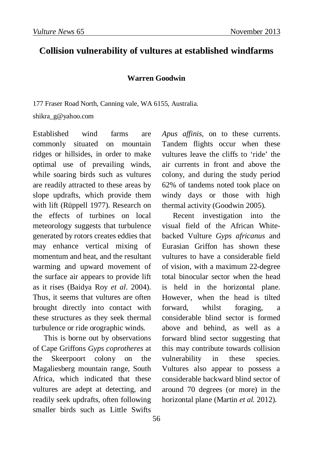## **Collision vulnerability of vultures at established windfarms**

## **Warren Goodwin**

177 Fraser Road North, Canning vale, WA 6155, Australia.

shikra\_g@yahoo.com

Established wind farms are commonly situated on mountain ridges or hillsides, in order to make optimal use of prevailing winds, while soaring birds such as vultures are readily attracted to these areas by slope updrafts, which provide them with lift (Rüppell 1977). Research on the effects of turbines on local meteorology suggests that turbulence generated by rotors creates eddies that may enhance vertical mixing of momentum and heat, and the resultant warming and upward movement of the surface air appears to provide lift as it rises (Baidya Roy *et al*. 2004). Thus, it seems that vultures are often brought directly into contact with these structures as they seek thermal turbulence or ride orographic winds.

This is borne out by observations of Cape Griffons *Gyps coprotheres* at the Skeerpoort colony on the Magaliesberg mountain range, South Africa, which indicated that these vultures are adept at detecting, and readily seek updrafts, often following smaller birds such as Little Swifts

*Apus affinis,* on to these currents. Tandem flights occur when these vultures leave the cliffs to 'ride' the air currents in front and above the colony, and during the study period 62% of tandems noted took place on windy days or those with high thermal activity (Goodwin 2005).

Recent investigation into the visual field of the African Whitebacked Vulture *Gyps africanus* and Eurasian Griffon has shown these vultures to have a considerable field of vision, with a maximum 22-degree total binocular sector when the head is held in the horizontal plane. However, when the head is tilted forward, whilst foraging, a considerable blind sector is formed above and behind, as well as a forward blind sector suggesting that this may contribute towards collision vulnerability in these species. Vultures also appear to possess a considerable backward blind sector of around 70 degrees (or more) in the horizontal plane (Martin *et al.* 2012).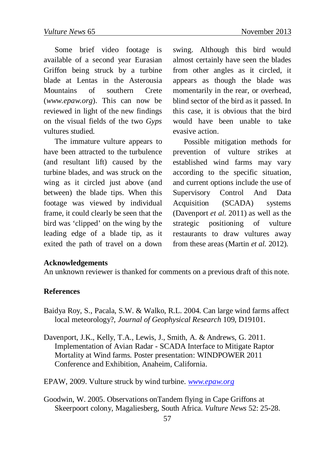Some brief video footage is available of a second year Eurasian Griffon being struck by a turbine blade at Lentas in the Asterousia Mountains of southern Crete (*www.epaw.org*). This can now be reviewed in light of the new findings on the visual fields of the two *Gyps* vultures studied.

The immature vulture appears to have been attracted to the turbulence (and resultant lift) caused by the turbine blades, and was struck on the wing as it circled just above (and between) the blade tips. When this footage was viewed by individual frame, it could clearly be seen that the bird was 'clipped' on the wing by the leading edge of a blade tip, as it exited the path of travel on a down

swing. Although this bird would almost certainly have seen the blades from other angles as it circled, it appears as though the blade was momentarily in the rear, or overhead, blind sector of the bird as it passed. In this case, it is obvious that the bird would have been unable to take evasive action.

Possible mitigation methods for prevention of vulture strikes at established wind farms may vary according to the specific situation, and current options include the use of Supervisory Control And Data Acquisition (SCADA) systems (Davenport *et al.* 2011) as well as the strategic positioning of vulture restaurants to draw vultures away from these areas (Martin *et al.* 2012).

## **Acknowledgements**

An unknown reviewer is thanked for comments on a previous draft of this note.

## **References**

- Baidya Roy, S., Pacala, S.W. & Walko, R.L. 2004. Can large wind farms affect local meteorology?, *Journal of Geophysical Research* 109, D19101.
- Davenport, J.K., Kelly, T.A., Lewis, J., Smith, A. & Andrews, G. 2011. Implementation of Avian Radar - SCADA Interface to Mitigate Raptor Mortality at Wind farms. Poster presentation: WINDPOWER 2011 Conference and Exhibition, Anaheim, California.
- EPAW, 2009. Vulture struck by wind turbine. *[www.epaw.org](http://www.epaw.org/)*
- Goodwin, W. 2005. Observations onTandem flying in Cape Griffons at Skeerpoort colony, Magaliesberg, South Africa. *Vulture News* 52: 25-28.